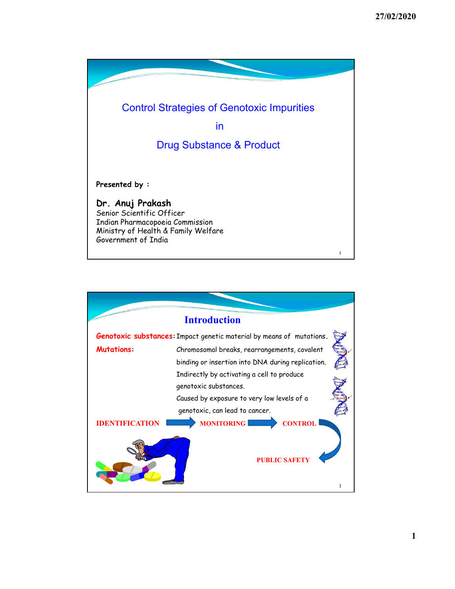

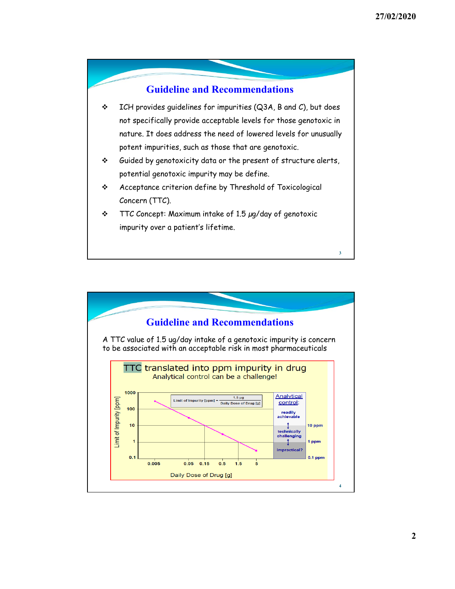

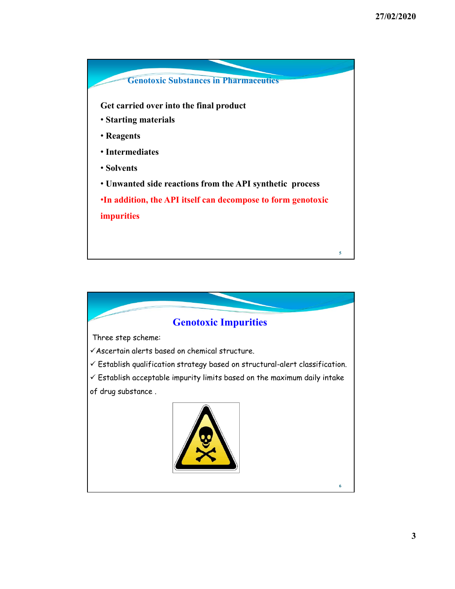

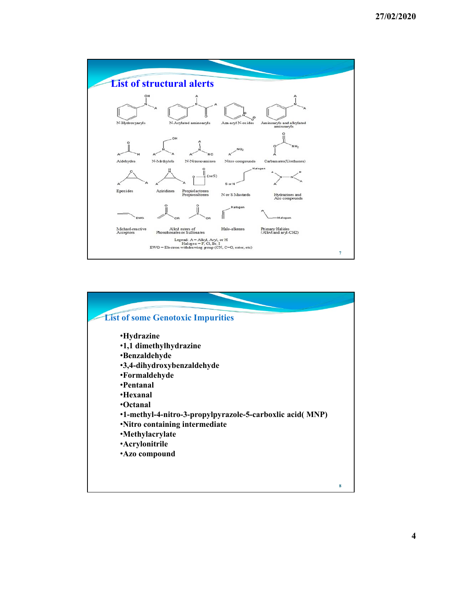

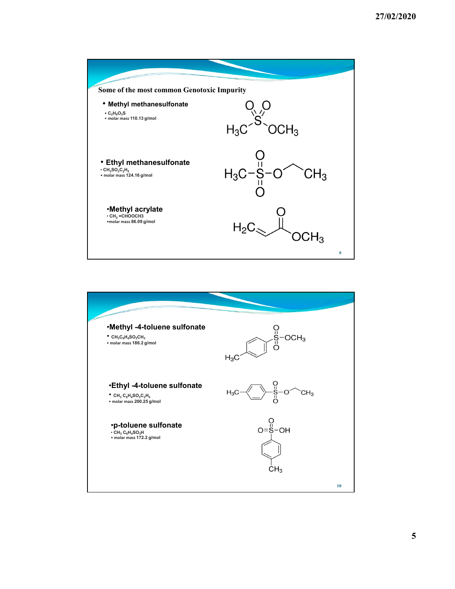

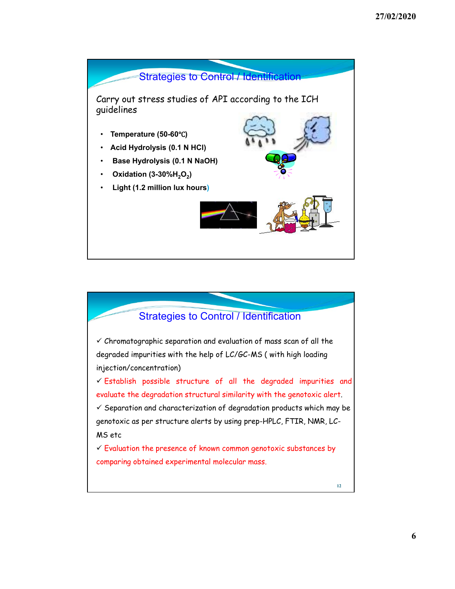

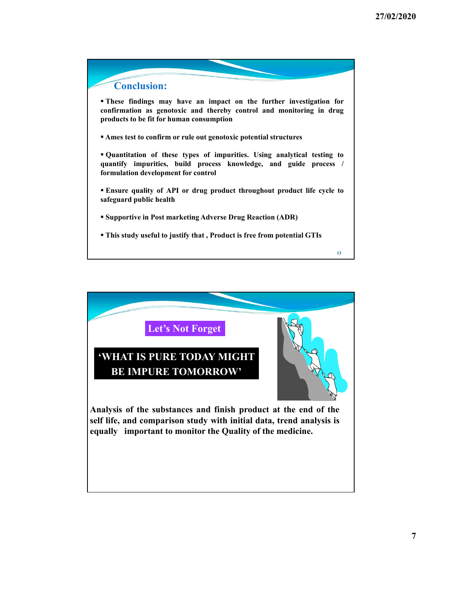